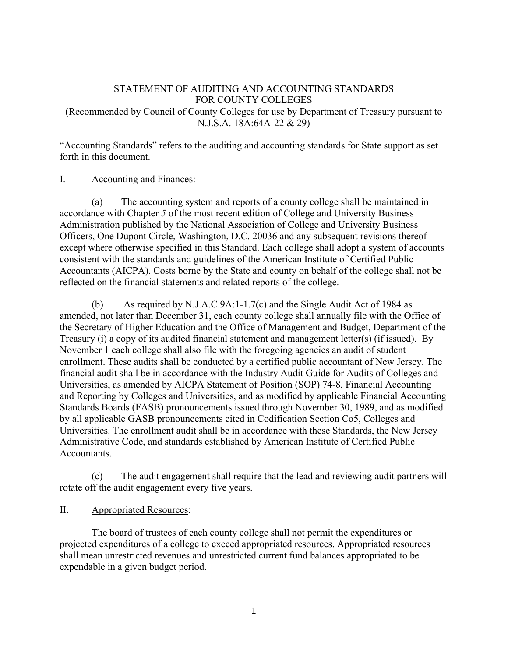### STATEMENT OF AUDITING AND ACCOUNTING STANDARDS FOR COUNTY COLLEGES (Recommended by Council of County Colleges for use by Department of Treasury pursuant to N.J.S.A. 18A:64A-22 & 29)

"Accounting Standards" refers to the auditing and accounting standards for State support as set forth in this document.

#### I. Accounting and Finances:

(a) The accounting system and reports of a county college shall be maintained in accordance with Chapter *5* of the most recent edition of College and University Business Administration published by the National Association of College and University Business Officers, One Dupont Circle, Washington, D.C. 20036 and any subsequent revisions thereof except where otherwise specified in this Standard. Each college shall adopt a system of accounts consistent with the standards and guidelines of the American Institute of Certified Public Accountants (AICPA). Costs borne by the State and county on behalf of the college shall not be reflected on the financial statements and related reports of the college.

(b) As required by N.J.A.C.9A:1-1.7(c) and the Single Audit Act of 1984 as amended, not later than December 31, each county college shall annually file with the Office of the Secretary of Higher Education and the Office of Management and Budget, Department of the Treasury (i) a copy of its audited financial statement and management letter(s) (if issued). By November 1 each college shall also file with the foregoing agencies an audit of student enrollment. These audits shall be conducted by a certified public accountant of New Jersey. The financial audit shall be in accordance with the Industry Audit Guide for Audits of Colleges and Universities, as amended by AICPA Statement of Position (SOP) 74-8, Financial Accounting and Reporting by Colleges and Universities, and as modified by applicable Financial Accounting Standards Boards (FASB) pronouncements issued through November 30, 1989, and as modified by all applicable GASB pronouncements cited in Codification Section Co5, Colleges and Universities. The enrollment audit shall be in accordance with these Standards, the New Jersey Administrative Code, and standards established by American Institute of Certified Public Accountants.

(c) The audit engagement shall require that the lead and reviewing audit partners will rotate off the audit engagement every five years.

### II. Appropriated Resources:

The board of trustees of each county college shall not permit the expenditures or projected expenditures of a college to exceed appropriated resources. Appropriated resources shall mean unrestricted revenues and unrestricted current fund balances appropriated to be expendable in a given budget period.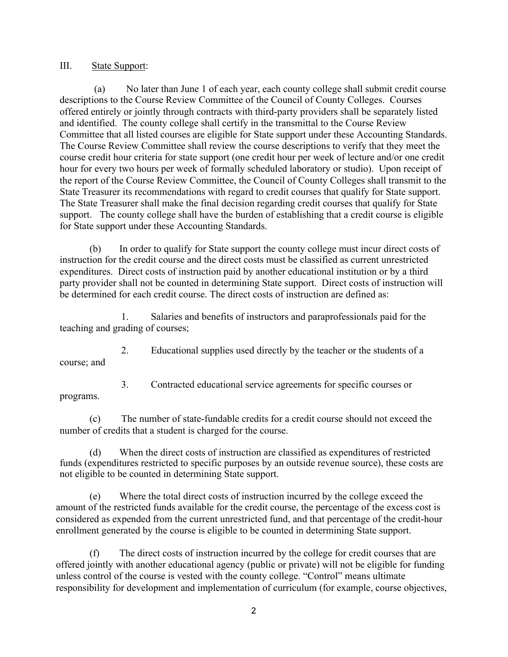III. State Support:

(a) No later than June 1 of each year, each county college shall submit credit course descriptions to the Course Review Committee of the Council of County Colleges. Courses offered entirely or jointly through contracts with third-party providers shall be separately listed and identified. The county college shall certify in the transmittal to the Course Review Committee that all listed courses are eligible for State support under these Accounting Standards. The Course Review Committee shall review the course descriptions to verify that they meet the course credit hour criteria for state support (one credit hour per week of lecture and/or one credit hour for every two hours per week of formally scheduled laboratory or studio). Upon receipt of the report of the Course Review Committee, the Council of County Colleges shall transmit to the State Treasurer its recommendations with regard to credit courses that qualify for State support. The State Treasurer shall make the final decision regarding credit courses that qualify for State support. The county college shall have the burden of establishing that a credit course is eligible for State support under these Accounting Standards.

(b) In order to qualify for State support the county college must incur direct costs of instruction for the credit course and the direct costs must be classified as current unrestricted expenditures. Direct costs of instruction paid by another educational institution or by a third party provider shall not be counted in determining State support. Direct costs of instruction will be determined for each credit course. The direct costs of instruction are defined as:

1. Salaries and benefits of instructors and paraprofessionals paid for the teaching and grading of courses;

2. Educational supplies used directly by the teacher or the students of a course; and

3. Contracted educational service agreements for specific courses or programs.

(c) The number of state-fundable credits for a credit course should not exceed the number of credits that a student is charged for the course.

(d) When the direct costs of instruction are classified as expenditures of restricted funds (expenditures restricted to specific purposes by an outside revenue source), these costs are not eligible to be counted in determining State support.

(e) Where the total direct costs of instruction incurred by the college exceed the amount of the restricted funds available for the credit course, the percentage of the excess cost is considered as expended from the current unrestricted fund, and that percentage of the credit-hour enrollment generated by the course is eligible to be counted in determining State support.

(f) The direct costs of instruction incurred by the college for credit courses that are offered jointly with another educational agency (public or private) will not be eligible for funding unless control of the course is vested with the county college. "Control" means ultimate responsibility for development and implementation of curriculum (for example, course objectives,

2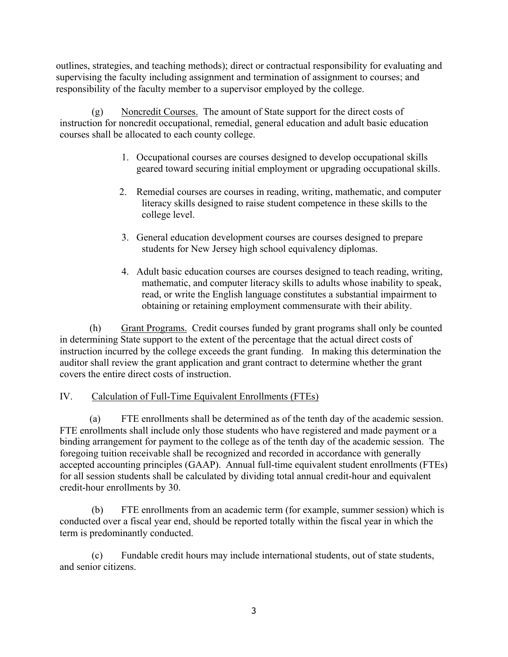outlines, strategies, and teaching methods); direct or contractual responsibility for evaluating and supervising the faculty including assignment and termination of assignment to courses; and responsibility of the faculty member to a supervisor employed by the college.

(g) Noncredit Courses. The amount of State support for the direct costs of instruction for noncredit occupational, remedial, general education and adult basic education courses shall be allocated to each county college.

- 1. Occupational courses are courses designed to develop occupational skills geared toward securing initial employment or upgrading occupational skills.
- 2. Remedial courses are courses in reading, writing, mathematic, and computer literacy skills designed to raise student competence in these skills to the college level.
- 3. General education development courses are courses designed to prepare students for New Jersey high school equivalency diplomas.
- 4. Adult basic education courses are courses designed to teach reading, writing, mathematic, and computer literacy skills to adults whose inability to speak, read, or write the English language constitutes a substantial impairment to obtaining or retaining employment commensurate with their ability.

(h) Grant Programs. Credit courses funded by grant programs shall only be counted in determining State support to the extent of the percentage that the actual direct costs of instruction incurred by the college exceeds the grant funding. In making this determination the auditor shall review the grant application and grant contract to determine whether the grant covers the entire direct costs of instruction.

# IV. Calculation of Full-Time Equivalent Enrollments (FTEs)

(a) FTE enrollments shall be determined as of the tenth day of the academic session. FTE enrollments shall include only those students who have registered and made payment or a binding arrangement for payment to the college as of the tenth day of the academic session. The foregoing tuition receivable shall be recognized and recorded in accordance with generally accepted accounting principles (GAAP). Annual full-time equivalent student enrollments (FTEs) for all session students shall be calculated by dividing total annual credit-hour and equivalent credit-hour enrollments by 30.

(b) FTE enrollments from an academic term (for example, summer session) which is conducted over a fiscal year end, should be reported totally within the fiscal year in which the term is predominantly conducted.

(c) Fundable credit hours may include international students, out of state students, and senior citizens.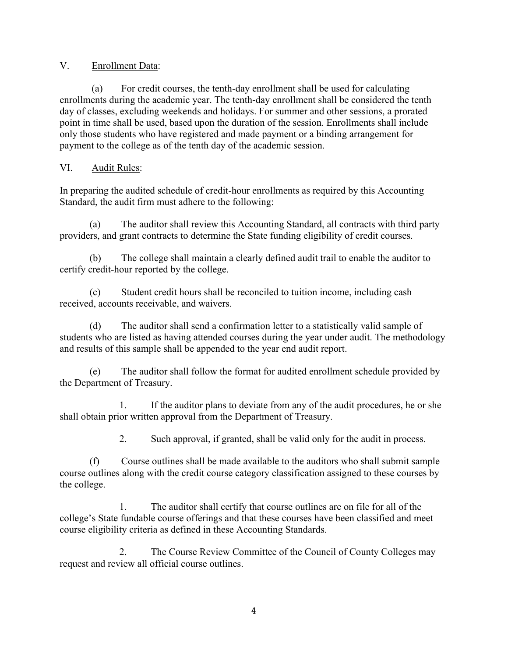## V. Enrollment Data:

(a) For credit courses, the tenth-day enrollment shall be used for calculating enrollments during the academic year. The tenth-day enrollment shall be considered the tenth day of classes, excluding weekends and holidays. For summer and other sessions, a prorated point in time shall be used, based upon the duration of the session. Enrollments shall include only those students who have registered and made payment or a binding arrangement for payment to the college as of the tenth day of the academic session.

## VI. Audit Rules:

In preparing the audited schedule of credit-hour enrollments as required by this Accounting Standard, the audit firm must adhere to the following:

(a) The auditor shall review this Accounting Standard, all contracts with third party providers, and grant contracts to determine the State funding eligibility of credit courses.

(b) The college shall maintain a clearly defined audit trail to enable the auditor to certify credit-hour reported by the college.

(c) Student credit hours shall be reconciled to tuition income, including cash received, accounts receivable, and waivers.

(d) The auditor shall send a confirmation letter to a statistically valid sample of students who are listed as having attended courses during the year under audit. The methodology and results of this sample shall be appended to the year end audit report.

(e) The auditor shall follow the format for audited enrollment schedule provided by the Department of Treasury.

1. If the auditor plans to deviate from any of the audit procedures, he or she shall obtain prior written approval from the Department of Treasury.

2. Such approval, if granted, shall be valid only for the audit in process.

(f) Course outlines shall be made available to the auditors who shall submit sample course outlines along with the credit course category classification assigned to these courses by the college.

1. The auditor shall certify that course outlines are on file for all of the college's State fundable course offerings and that these courses have been classified and meet course eligibility criteria as defined in these Accounting Standards.

2. The Course Review Committee of the Council of County Colleges may request and review all official course outlines.